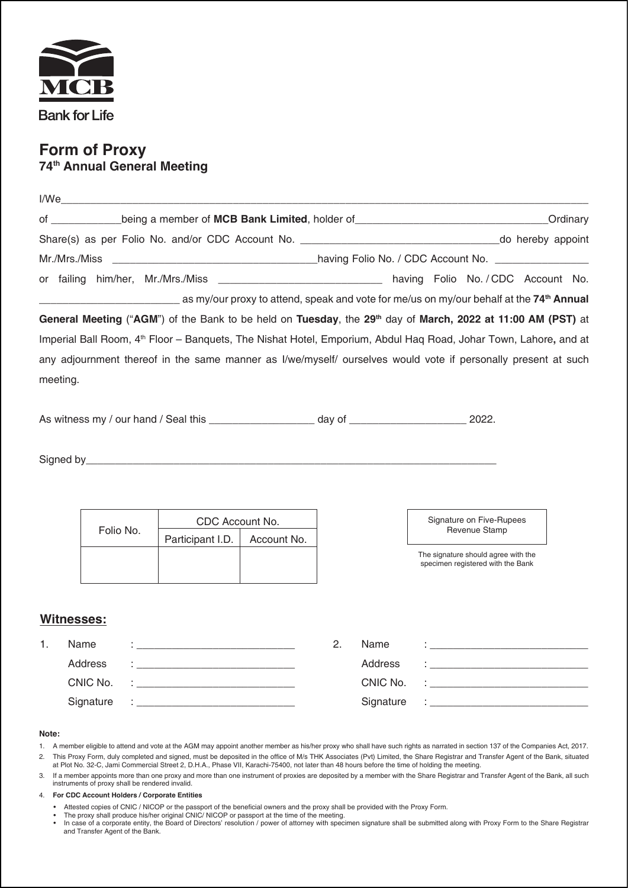

## **Form of Proxy 74th Annual General Meeting**

| of ____________being a member of MCB Bank Limited, holder of _______________________________Ordinary |                                                                            |                                                                                                                                                                                                                                 |                                                                                                                              |  |                                                                                                                                    |                     |               |                                                                                                                 |  |  |  |  |
|------------------------------------------------------------------------------------------------------|----------------------------------------------------------------------------|---------------------------------------------------------------------------------------------------------------------------------------------------------------------------------------------------------------------------------|------------------------------------------------------------------------------------------------------------------------------|--|------------------------------------------------------------------------------------------------------------------------------------|---------------------|---------------|-----------------------------------------------------------------------------------------------------------------|--|--|--|--|
|                                                                                                      |                                                                            |                                                                                                                                                                                                                                 |                                                                                                                              |  |                                                                                                                                    |                     |               |                                                                                                                 |  |  |  |  |
|                                                                                                      |                                                                            |                                                                                                                                                                                                                                 |                                                                                                                              |  |                                                                                                                                    |                     |               |                                                                                                                 |  |  |  |  |
|                                                                                                      |                                                                            |                                                                                                                                                                                                                                 | or failing him/her, Mr./Mrs./Miss ______________________________ having Folio No. / CDC Account No.                          |  |                                                                                                                                    |                     |               |                                                                                                                 |  |  |  |  |
|                                                                                                      |                                                                            |                                                                                                                                                                                                                                 | as my/our proxy to attend, speak and vote for me/us on my/our behalf at the 74 <sup>th</sup> Annual and your behalf at the T |  |                                                                                                                                    |                     |               |                                                                                                                 |  |  |  |  |
|                                                                                                      |                                                                            |                                                                                                                                                                                                                                 | General Meeting ("AGM") of the Bank to be held on Tuesday, the 29th day of March, 2022 at 11:00 AM (PST) at                  |  |                                                                                                                                    |                     |               |                                                                                                                 |  |  |  |  |
|                                                                                                      |                                                                            |                                                                                                                                                                                                                                 | Imperial Ball Room, 4 <sup>th</sup> Floor – Banquets, The Nishat Hotel, Emporium, Abdul Haq Road, Johar Town, Lahore, and at |  |                                                                                                                                    |                     |               |                                                                                                                 |  |  |  |  |
|                                                                                                      |                                                                            |                                                                                                                                                                                                                                 | any adjournment thereof in the same manner as I/we/myself/ ourselves would vote if personally present at such                |  |                                                                                                                                    |                     |               |                                                                                                                 |  |  |  |  |
| meeting.                                                                                             |                                                                            |                                                                                                                                                                                                                                 |                                                                                                                              |  |                                                                                                                                    |                     |               |                                                                                                                 |  |  |  |  |
|                                                                                                      |                                                                            |                                                                                                                                                                                                                                 |                                                                                                                              |  |                                                                                                                                    |                     |               |                                                                                                                 |  |  |  |  |
|                                                                                                      |                                                                            |                                                                                                                                                                                                                                 |                                                                                                                              |  |                                                                                                                                    |                     |               |                                                                                                                 |  |  |  |  |
|                                                                                                      |                                                                            |                                                                                                                                                                                                                                 |                                                                                                                              |  |                                                                                                                                    |                     |               |                                                                                                                 |  |  |  |  |
|                                                                                                      |                                                                            |                                                                                                                                                                                                                                 |                                                                                                                              |  |                                                                                                                                    |                     |               |                                                                                                                 |  |  |  |  |
|                                                                                                      |                                                                            |                                                                                                                                                                                                                                 |                                                                                                                              |  |                                                                                                                                    |                     |               |                                                                                                                 |  |  |  |  |
|                                                                                                      |                                                                            |                                                                                                                                                                                                                                 |                                                                                                                              |  |                                                                                                                                    |                     |               |                                                                                                                 |  |  |  |  |
|                                                                                                      |                                                                            |                                                                                                                                                                                                                                 | CDC Account No.                                                                                                              |  |                                                                                                                                    |                     |               | Signature on Five-Rupees                                                                                        |  |  |  |  |
|                                                                                                      | Folio No.                                                                  |                                                                                                                                                                                                                                 | Participant I.D.<br>Account No.                                                                                              |  |                                                                                                                                    |                     | Revenue Stamp |                                                                                                                 |  |  |  |  |
|                                                                                                      |                                                                            |                                                                                                                                                                                                                                 |                                                                                                                              |  |                                                                                                                                    |                     |               | The signature should agree with the<br>specimen registered with the Bank                                        |  |  |  |  |
|                                                                                                      |                                                                            |                                                                                                                                                                                                                                 |                                                                                                                              |  |                                                                                                                                    |                     |               |                                                                                                                 |  |  |  |  |
|                                                                                                      |                                                                            |                                                                                                                                                                                                                                 |                                                                                                                              |  |                                                                                                                                    |                     |               |                                                                                                                 |  |  |  |  |
|                                                                                                      | Witnesses:                                                                 |                                                                                                                                                                                                                                 |                                                                                                                              |  |                                                                                                                                    |                     |               |                                                                                                                 |  |  |  |  |
| 1.                                                                                                   | Name                                                                       | ing a shekarar ta 1990 a ta 1990 a ta 1990 a ta 1990 a ta 1990 a ta 1990 a ta 1990 a ta 1990 a ta 1990 a ta 19<br>Ta 1990 a ta 1990 a ta 1990 a ta 1990 a ta 1990 a ta 1990 a ta 1990 a ta 1990 a ta 1990 a ta 1990 a ta 1990 a |                                                                                                                              |  | 2.                                                                                                                                 | Name                |               | in the company of the company of the company of the company of the company of the company of the company of the |  |  |  |  |
|                                                                                                      | Address<br>CNIC No.                                                        |                                                                                                                                                                                                                                 | <u> 1980 - Jan James James, martin de la propincia de la propincia de la propincia de la propincia de la propinci</u>        |  |                                                                                                                                    | Address<br>CNIC No. |               |                                                                                                                 |  |  |  |  |
|                                                                                                      |                                                                            |                                                                                                                                                                                                                                 |                                                                                                                              |  |                                                                                                                                    |                     |               |                                                                                                                 |  |  |  |  |
|                                                                                                      | Signature<br><u> 1980 - Johann Barn, mars an t-Amerikaansk politiker (</u> |                                                                                                                                                                                                                                 |                                                                                                                              |  | Signature<br><u> 1989 - Johann Harry Harry Harry Harry Harry Harry Harry Harry Harry Harry Harry Harry Harry Harry Harry Harry</u> |                     |               |                                                                                                                 |  |  |  |  |
|                                                                                                      |                                                                            |                                                                                                                                                                                                                                 |                                                                                                                              |  |                                                                                                                                    |                     |               |                                                                                                                 |  |  |  |  |
| Note:                                                                                                |                                                                            |                                                                                                                                                                                                                                 |                                                                                                                              |  |                                                                                                                                    |                     |               |                                                                                                                 |  |  |  |  |

- 1. A member eligible to attend and vote at the AGM may appoint another member as his/her proxy who shall have such rights as narrated in section 137 of the Companies Act, 2017. 2. This Proxy Form, duly completed and signed, must be deposited in the office of M/s THK Associates (Pvt) Limited, the Share Registrar and Transfer Agent of the Bank, situated<br>at Plot No. 32-C, Jami Commercial Street 2, D
- 3. If a member appoints more than one proxy and more than one instrument of proxies are deposited by a member with the Share Registrar and Transfer Agent of the Bank, all such instruments of proxy shall be rendered invalid.
- 4. **For CDC Account Holders / Corporate Entities**
	-
	-
- Attested copies of CNIC / NICOP or the passport of the beneficial owners and the proxy shall be provided with the Proxy Form.<br>● The proxy shall produce his/her original CNIC/ NICOP or passport at the time of the meeting and Transfer Agent of the Bank.